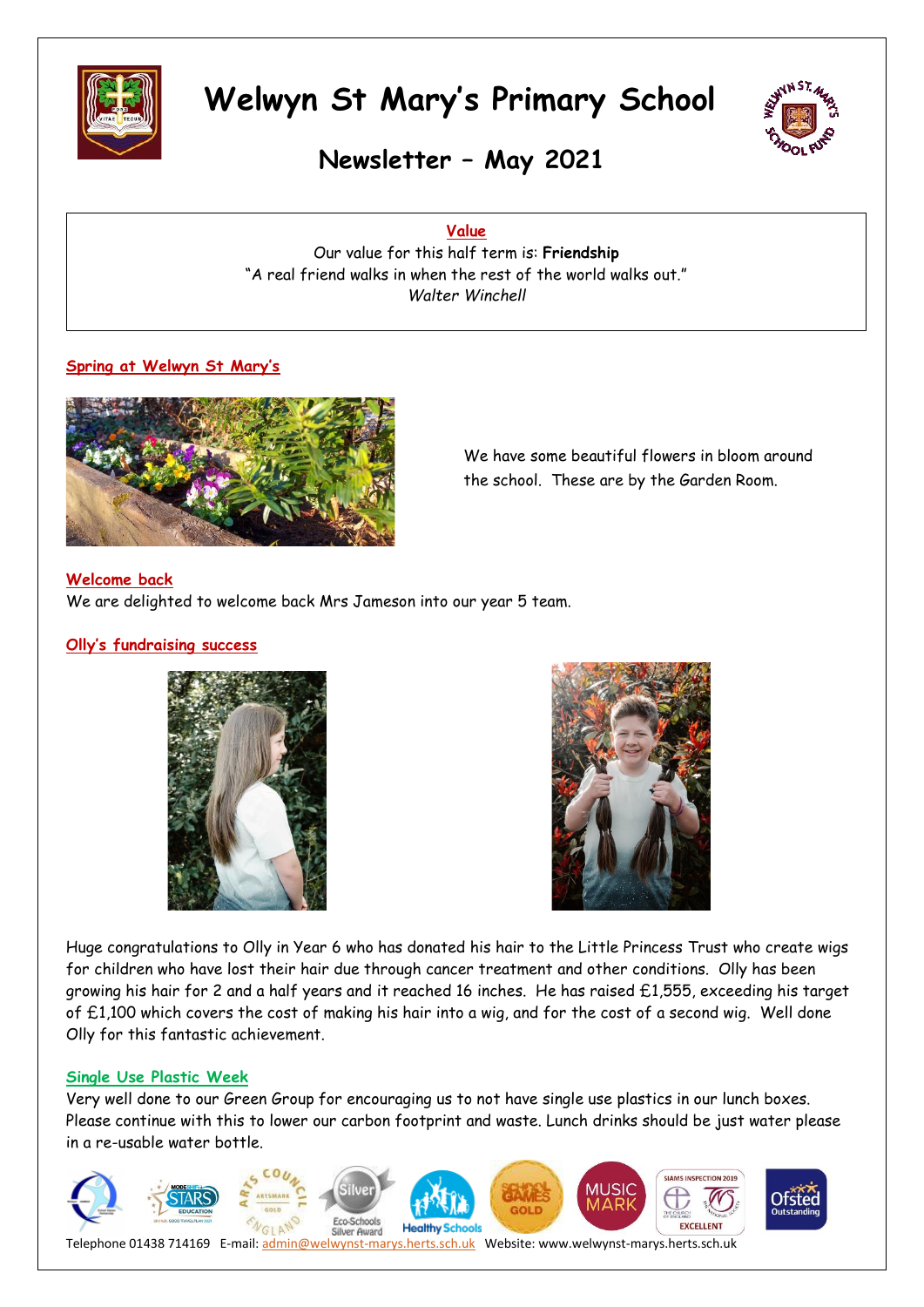



**Newsletter – May 2021**

**Value**

Our value for this half term is: **Friendship** "A real friend walks in when the rest of the world walks out." *Walter Winchell*

#### **Spring at Welwyn St Mary's**



We have some beautiful flowers in bloom around the school. These are by the Garden Room.

#### **Welcome back**

We are delighted to welcome back Mrs Jameson into our year 5 team.

#### **Olly's fundraising success**





Huge congratulations to Olly in Year 6 who has donated his hair to the Little Princess Trust who create wigs for children who have lost their hair due through cancer treatment and other conditions. Olly has been growing his hair for 2 and a half years and it reached 16 inches. He has raised £1,555, exceeding his target of £1,100 which covers the cost of making his hair into a wig, and for the cost of a second wig. Well done Olly for this fantastic achievement.

#### **Single Use Plastic Week**

Very well done to our Green Group for encouraging us to not have single use plastics in our lunch boxes. Please continue with this to lower our carbon footprint and waste. Lunch drinks should be just water please in a re-usable water bottle.

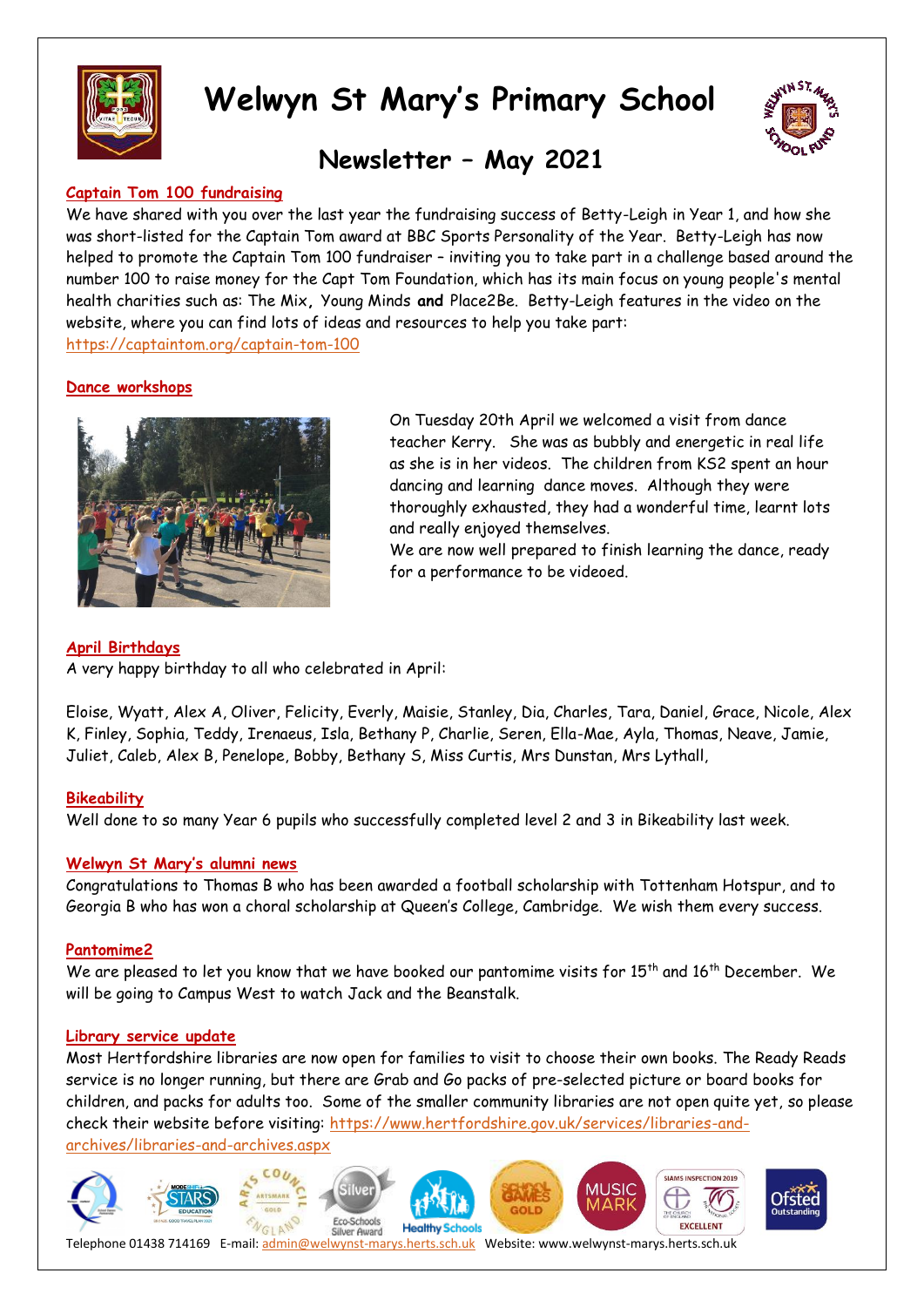



### **Newsletter – May 2021**

#### **Captain Tom 100 fundraising**

We have shared with you over the last year the fundraising success of Betty-Leigh in Year 1, and how she was short-listed for the Captain Tom award at BBC Sports Personality of the Year. Betty-Leigh has now helped to promote the Captain Tom 100 fundraiser – inviting you to take part in a challenge based around the number 100 to raise money for the Capt Tom Foundation, which has its main focus on young people's mental health charities such as: The Mix**,** Young Minds **and** Place2Be. Betty-Leigh features in the video on the website, where you can find lots of ideas and resources to help you take part:

<https://captaintom.org/captain-tom-100>

#### **Dance workshops**



On Tuesday 20th April we welcomed a visit from dance teacher Kerry. She was as bubbly and energetic in real life as she is in her videos. The children from KS2 spent an hour dancing and learning dance moves. Although they were thoroughly exhausted, they had a wonderful time, learnt lots and really enjoyed themselves.

We are now well prepared to finish learning the dance, ready for a performance to be videoed.

#### **April Birthdays**

A very happy birthday to all who celebrated in April:

Eloise, Wyatt, Alex A, Oliver, Felicity, Everly, Maisie, Stanley, Dia, Charles, Tara, Daniel, Grace, Nicole, Alex K, Finley, Sophia, Teddy, Irenaeus, Isla, Bethany P, Charlie, Seren, Ella-Mae, Ayla, Thomas, Neave, Jamie, Juliet, Caleb, Alex B, Penelope, Bobby, Bethany S, Miss Curtis, Mrs Dunstan, Mrs Lythall,

#### **Bikeability**

Well done to so many Year 6 pupils who successfully completed level 2 and 3 in Bikeability last week.

#### **Welwyn St Mary's alumni news**

Congratulations to Thomas B who has been awarded a football scholarship with Tottenham Hotspur, and to Georgia B who has won a choral scholarship at Queen's College, Cambridge. We wish them every success.

#### **Pantomime2**

We are pleased to let you know that we have booked our pantomime visits for 15<sup>th</sup> and 16<sup>th</sup> December. We will be going to Campus West to watch Jack and the Beanstalk.

#### **Library service update**

Most Hertfordshire libraries are now open for families to visit to choose their own books. The Ready Reads service is no longer running, but there are Grab and Go packs of pre-selected picture or board books for children, and packs for adults too. Some of the smaller community libraries are not open quite yet, so please check their website before visiting: [https://www.hertfordshire.gov.uk/services/libraries-and](https://www.hertfordshire.gov.uk/services/libraries-and-archives/libraries-and-archives.aspx)[archives/libraries-and-archives.aspx](https://www.hertfordshire.gov.uk/services/libraries-and-archives/libraries-and-archives.aspx)

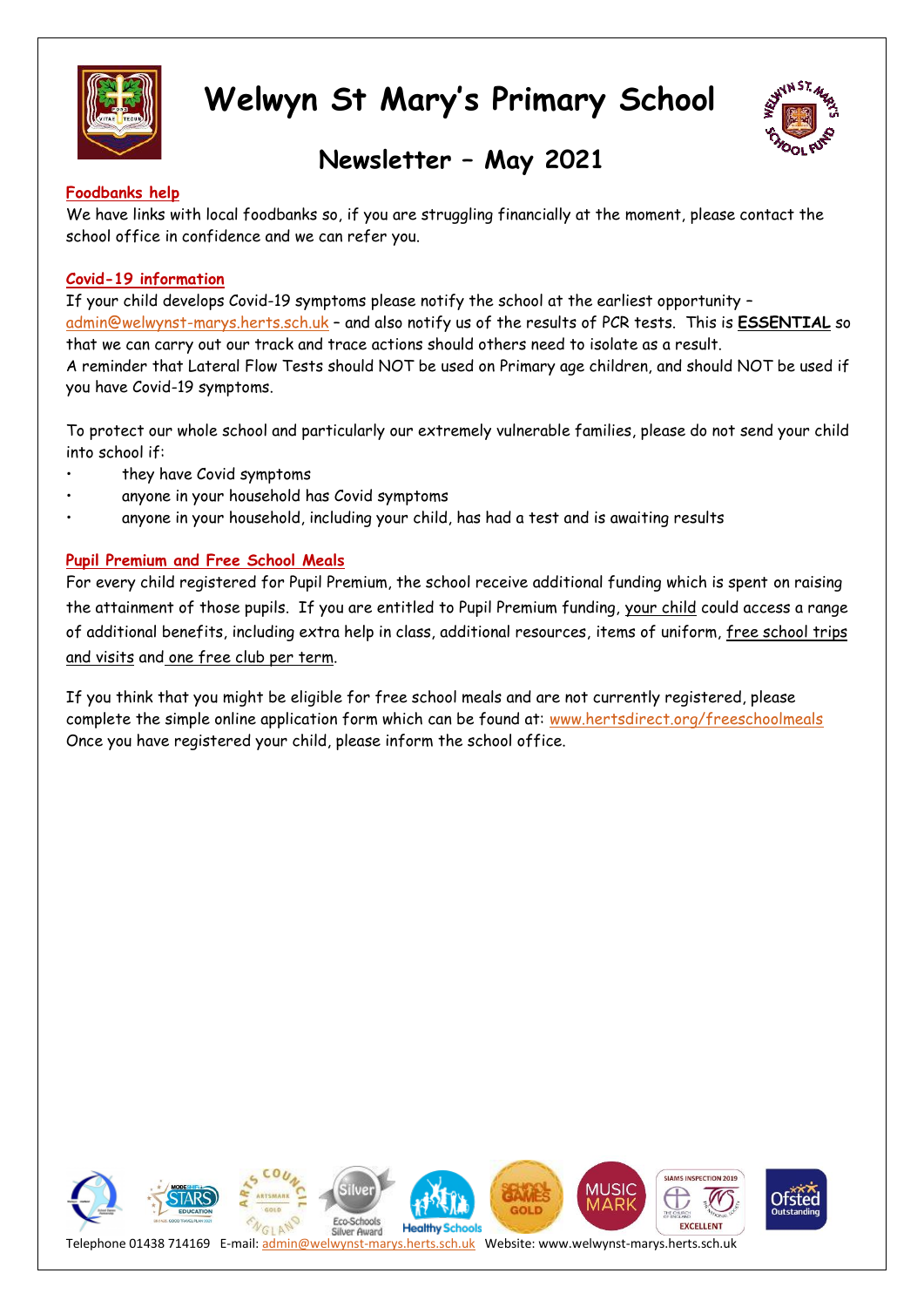



### **Newsletter – May 2021**

#### **Foodbanks help**

We have links with local foodbanks so, if you are struggling financially at the moment, please contact the school office in confidence and we can refer you.

#### **Covid-19 information**

If your child develops Covid-19 symptoms please notify the school at the earliest opportunity – [admin@welwynst-marys.herts.sch.uk](mailto:admin@welwynst-marys.herts.sch.uk) – and also notify us of the results of PCR tests. This is **ESSENTIAL** so that we can carry out our track and trace actions should others need to isolate as a result. A reminder that Lateral Flow Tests should NOT be used on Primary age children, and should NOT be used if you have Covid-19 symptoms.

To protect our whole school and particularly our extremely vulnerable families, please do not send your child into school if:

- they have Covid symptoms
- anyone in your household has Covid symptoms
- anyone in your household, including your child, has had a test and is awaiting results

#### **Pupil Premium and Free School Meals**

For every child registered for Pupil Premium, the school receive additional funding which is spent on raising the attainment of those pupils. If you are entitled to Pupil Premium funding, your child could access a range of additional benefits, including extra help in class, additional resources, items of uniform, free school trips and visits and one free club per term.

If you think that you might be eligible for free school meals and are not currently registered, please complete the simple online application form which can be found at: [www.hertsdirect.org/freeschoolmeals](http://www.hertsdirect.org/freeschoolmeals)  Once you have registered your child, please inform the school office.